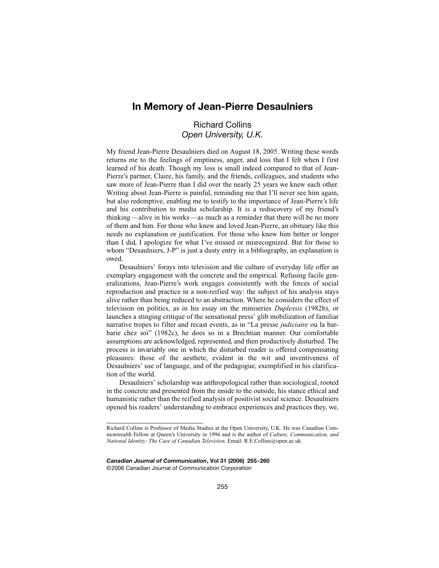## **In Memory of Jean-Pierre Desaulniers**

## Richard Collins *Open University, U.K.*

My friend Jean-Pierre Desaulniers died on August 18, 2005. Writing these words returns me to the feelings of emptiness, anger, and loss that I felt when I first learned of his death. Though my loss is small indeed compared to that of Jean-Pierre's partner, Claire, his family, and the friends, colleagues, and students who saw more of Jean-Pierre than I did over the nearly 25 years we knew each other. Writing about Jean-Pierre is painful, reminding me that I'll never see him again, but also redemptive, enabling me to testify to the importance of Jean-Pierre's life and his contribution to media scholarship. It is a rediscovery of my friend's thinking—alive in his works—as much as a reminder that there will be no more of them and him. For those who knew and loved Jean-Pierre, an obituary like this needs no explanation or justification. For those who knew him better or longer than I did, I apologize for what I've missed or misrecognized. But for those to whom "Desaulniers, J-P" is just a dusty entry in a bibliography, an explanation is owed.

Desaulniers' forays into television and the culture of everyday life offer an exemplary engagement with the concrete and the empirical. Refusing facile generalizations, Jean-Pierre's work engages consistently with the forces of social reproduction and practice in a non-reified way: the subject of his analysis stays alive rather than being reduced to an abstraction. Where he considers the effect of television on politics, as in his essay on the miniseries *Duplessis* (1982b), or launches a stinging critique of the sensational press' glib mobilization of familiar narrative tropes to filter and recast events, as in "La presse *judiciaire* ou la barbarie chez soi" (1982c), he does so in a Brechtian manner. Our comfortable assumptions are acknowledged, represented, and then productively disturbed. The process is invariably one in which the disturbed reader is offered compensating pleasures: those of the aesthete, evident in the wit and inventiveness of Desaulniers' use of language, and of the pedagogue, exemplified in his clarification of the world.

Desaulniers' scholarship was anthropological rather than sociological, rooted in the concrete and presented from the inside to the outside, his stance ethical and humanistic rather than the reified analysis of positivist social science. Desaulniers opened his readers' understanding to embrace experiences and practices they, we,

*Canadian Journal of Communication***, Vol 31 (2006) 255-260** ©2006 Canadian Journal of Communication Corporation

Richard Collins is Professor of Media Studies at the Open University, U.K. He was Canadian Commonwealth Fellow at Queen's University in 1996 and is the author of *Culture, Communication, and National Identity: The Case of Canadian Television*. Email: R.E.Collins@open.ac.uk.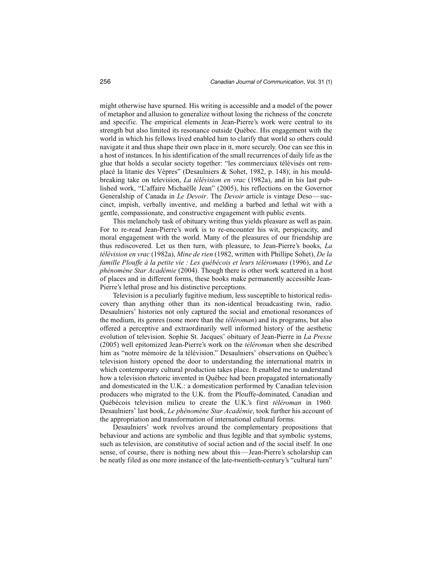might otherwise have spurned. His writing is accessible and a model of the power of metaphor and allusion to generalize without losing the richness of the concrete and specific. The empirical elements in Jean-Pierre's work were central to its strength but also limited its resonance outside Québec. His engagement with the world in which his fellows lived enabled him to clarify that world so others could navigate it and thus shape their own place in it, more securely. One can see this in a host of instances. In his identification of the small recurrences of daily life as the glue that holds a secular society together: "les commerciaux télévisés ont remplacé la litanie des Vèpres" (Desaulniers & Sohet, 1982, p. 148); in his mouldbreaking take on television, *La télévision en vrac* (1982a), and in his last published work, "L'affaire Michaëlle Jean" (2005), his reflections on the Governor Generalship of Canada in *Le Devoir*. The *Devoir* article is vintage Deso—succinct, impish, verbally inventive, and melding a barbed and lethal wit with a gentle, compassionate, and constructive engagement with public events.

This melancholy task of obituary writing thus yields pleasure as well as pain. For to re-read Jean-Pierre's work is to re-encounter his wit, perspicacity, and moral engagement with the world. Many of the pleasures of our friendship are thus rediscovered. Let us then turn, with pleasure, to Jean-Pierre's books, *La télévision en vrac* (1982a), *Mine de rien* (1982, written with Phillipe Sohet), *De la famille Plouffe à la petite vie : Les québécois et leurs téléromans* (1996), and *Le phénomène Star Académie* (2004). Though there is other work scattered in a host of places and in different forms, these books make permanently accessible Jean-Pierre's lethal prose and his distinctive perceptions.

Television is a peculiarly fugitive medium, less susceptible to historical rediscovery than anything other than its non-identical broadcasting twin, radio. Desaulniers' histories not only captured the social and emotional resonances of the medium, its genres (none more than the *téléroman*) and its programs, but also offered a perceptive and extraordinarily well informed history of the aesthetic evolution of television. Sophie St. Jacques' obituary of Jean-Pierre in *La Presse* (2005) well epitomized Jean-Pierre's work on the *téléroman* when she described him as "notre mémoire de la télévision." Desaulniers' observations on Québec's television history opened the door to understanding the international matrix in which contemporary cultural production takes place. It enabled me to understand how a television rhetoric invented in Québec had been propagated internationally and domesticated in the U.K.: a domestication performed by Canadian television producers who migrated to the U.K. from the Plouffe-dominated, Canadian and Québécois television milieu to create the U.K.'s first *téléroman* in 1960. Desaulniers' last book, *Le phénomène Star Académie*, took further his account of the appropriation and transformation of international cultural forms.

Desaulniers' work revolves around the complementary propositions that behaviour and actions are symbolic and thus legible and that symbolic systems, such as television, are constitutive of social action and of the social itself. In one sense, of course, there is nothing new about this—Jean-Pierre's scholarship can be neatly filed as one more instance of the late-twentieth-century's "cultural turn"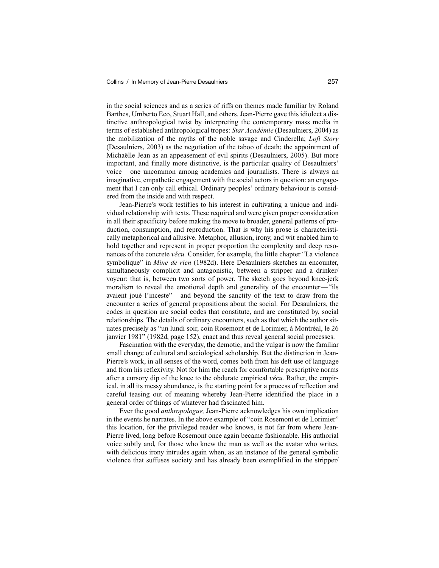in the social sciences and as a series of riffs on themes made familiar by Roland Barthes, Umberto Eco, Stuart Hall, and others. Jean-Pierre gave this idiolect a distinctive anthropological twist by interpreting the contemporary mass media in terms of established anthropological tropes: *Star Académie* (Desaulniers, 2004) as the mobilization of the myths of the noble savage and Cinderella; *Loft Story* (Desaulniers, 2003) as the negotiation of the taboo of death; the appointment of Michaëlle Jean as an appeasement of evil spirits (Desaulniers, 2005). But more important, and finally more distinctive, is the particular quality of Desaulniers' voice—one uncommon among academics and journalists. There is always an imaginative, empathetic engagement with the social actors in question: an engagement that I can only call ethical. Ordinary peoples' ordinary behaviour is considered from the inside and with respect.

Jean-Pierre's work testifies to his interest in cultivating a unique and individual relationship with texts. These required and were given proper consideration in all their specificity before making the move to broader, general patterns of production, consumption, and reproduction. That is why his prose is characteristically metaphorical and allusive. Metaphor, allusion, irony, and wit enabled him to hold together and represent in proper proportion the complexity and deep resonances of the concrete *vécu.* Consider, for example, the little chapter "La violence symbolique" in *Mine de rien* (1982d). Here Desaulniers sketches an encounter, simultaneously complicit and antagonistic, between a stripper and a drinker/ voyeur: that is, between two sorts of power. The sketch goes beyond knee-jerk moralism to reveal the emotional depth and generality of the encounter—"ils avaient joué l'inceste"—and beyond the sanctity of the text to draw from the encounter a series of general propositions about the social. For Desaulniers, the codes in question are social codes that constitute, and are constituted by, social relationships. The details of ordinary encounters, such as that which the author situates precisely as "un lundi soir, coin Rosemont et de Lorimier, à Montréal, le 26 janvier 1981" (1982d, page 152), enact and thus reveal general social processes.

Fascination with the everyday, the demotic, and the vulgar is now the familiar small change of cultural and sociological scholarship. But the distinction in Jean-Pierre's work, in all senses of the word, comes both from his deft use of language and from his reflexivity. Not for him the reach for comfortable prescriptive norms after a cursory dip of the knee to the obdurate empirical *vécu.* Rather, the empirical, in all its messy abundance, is the starting point for a process of reflection and careful teasing out of meaning whereby Jean-Pierre identified the place in a general order of things of whatever had fascinated him.

Ever the good *anthropologue,* Jean-Pierre acknowledges his own implication in the events he narrates. In the above example of "coin Rosemont et de Lorimier" this location, for the privileged reader who knows, is not far from where Jean-Pierre lived, long before Rosemont once again became fashionable. His authorial voice subtly and, for those who knew the man as well as the avatar who writes, with delicious irony intrudes again when, as an instance of the general symbolic violence that suffuses society and has already been exemplified in the stripper/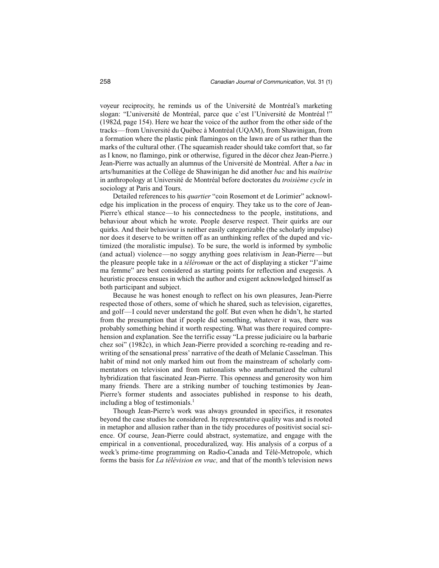voyeur reciprocity, he reminds us of the Université de Montréal's marketing slogan: "L'université de Montréal, parce que c'est l'Université de Montréal !" (1982d, page 154). Here we hear the voice of the author from the other side of the tracks—from Université du Québec à Montréal (UQAM), from Shawinigan, from a formation where the plastic pink flamingos on the lawn are of us rather than the marks of the cultural other. (The squeamish reader should take comfort that, so far as I know, no flamingo, pink or otherwise, figured in the décor chez Jean-Pierre.) Jean-Pierre was actually an alumnus of the Université de Montréal. After a *bac* in arts/humanities at the Collège de Shawinigan he did another *bac* and his *maîtrise* in anthropology at Université de Montréal before doctorates du *troisième cycle* in sociology at Paris and Tours.

Detailed references to his *quartier* "coin Rosemont et de Lorimier" acknowledge his implication in the process of enquiry. They take us to the core of Jean-Pierre's ethical stance—to his connectedness to the people, institutions, and behaviour about which he wrote. People deserve respect. Their quirks are our quirks. And their behaviour is neither easily categorizable (the scholarly impulse) nor does it deserve to be written off as an unthinking reflex of the duped and victimized (the moralistic impulse). To be sure, the world is informed by symbolic (and actual) violence—no soggy anything goes relativism in Jean-Pierre—but the pleasure people take in a *téléroman* or the act of displaying a sticker "J'aime ma femme" are best considered as starting points for reflection and exegesis. A heuristic process ensues in which the author and exigent acknowledged himself as both participant and subject.

Because he was honest enough to reflect on his own pleasures, Jean-Pierre respected those of others, some of which he shared, such as television, cigarettes, and golf—I could never understand the golf. But even when he didn't, he started from the presumption that if people did something, whatever it was, there was probably something behind it worth respecting. What was there required comprehension and explanation. See the terrific essay "La presse judiciaire ou la barbarie chez soi" (1982c), in which Jean-Pierre provided a scorching re-reading and rewriting of the sensational press' narrative of the death of Melanie Casselman. This habit of mind not only marked him out from the mainstream of scholarly commentators on television and from nationalists who anathematized the cultural hybridization that fascinated Jean-Pierre. This openness and generosity won him many friends. There are a striking number of touching testimonies by Jean-Pierre's former students and associates published in response to his death, including a blog of testimonials. $<sup>1</sup>$ </sup>

Though Jean-Pierre's work was always grounded in specifics, it resonates beyond the case studies he considered. Its representative quality was and is rooted in metaphor and allusion rather than in the tidy procedures of positivist social science. Of course, Jean-Pierre could abstract, systematize, and engage with the empirical in a conventional, proceduralized, way. His analysis of a corpus of a week's prime-time programming on Radio-Canada and Télé-Metropole, which forms the basis for *La télévision en vrac,* and that of the month's television news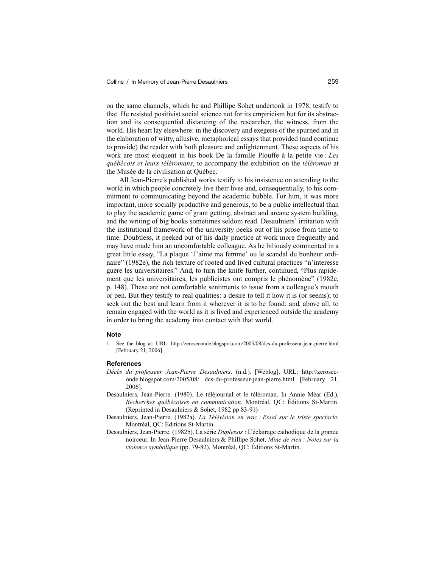on the same channels, which he and Phillipe Sohet undertook in 1978, testify to that. He resisted positivist social science not for its empiricism but for its abstraction and its consequential distancing of the researcher, the witness, from the world. His heart lay elsewhere: in the discovery and exegesis of the spurned and in the elaboration of witty, allusive, metaphorical essays that provided (and continue to provide) the reader with both pleasure and enlightenment. These aspects of his work are most eloquent in his book De la famille Plouffe à la petite vie : *Les québécois et leurs téléromans*, to accompany the exhibition on the *téléroman* at the Musée de la civilisation at Québec.

All Jean-Pierre's published works testify to his insistence on attending to the world in which people concretely live their lives and, consequentially, to his commitment to communicating beyond the academic bubble. For him, it was more important, more socially productive and generous, to be a public intellectual than to play the academic game of grant getting, abstract and arcane system building, and the writing of big books sometimes seldom read. Desaulniers' irritation with the institutional framework of the university peeks out of his prose from time to time. Doubtless, it peeked out of his daily practice at work more frequently and may have made him an uncomfortable colleague. As he biliously commented in a great little essay, "La plaque 'J'aime ma femme' ou le scandal du bonheur ordinaire" (1982e), the rich texture of rooted and lived cultural practices "n'interesse guère les universitaires." And, to turn the knife further, continued, "Plus rapidement que les universitaires, les publicistes ont compris le phénomène" (1982e, p. 148). These are not comfortable sentiments to issue from a colleague's mouth or pen. But they testify to real qualities: a desire to tell it how it is (or seems); to seek out the best and learn from it wherever it is to be found; and, above all, to remain engaged with the world as it is lived and experienced outside the academy in order to bring the academy into contact with that world.

## **Note**

1. See the blog at: URL: http://zeroseconde.blogspot.com/2005/08/dcs-du-professeur-jean-pierre.html [February 21, 2006].

## **References**

- *Décès du professeur Jean-Pierre Desaulniers*. (n.d.). [Weblog]. URL: http://zeroseconde.blogspot.com/2005/08/ dcs-du-professeur-jean-pierre.html [February 21, 2006].
- Desaulniers, Jean-Pierre. (1980). Le téléjournal et le téléroman. In Annie Méar (Ed.), *Recherches québécoises en communication*. Montréal, QC: Éditions St-Martin. (Reprinted in Desaulniers & Sohet, 1982 pp 83-91)
- Desaulniers, Jean-Pierre. (1982a). *La Télévision en vrac : Essai sur le triste spectacle.* Montréal, QC: Éditions St-Martin.
- Desaulniers, Jean-Pierre. (1982b). La série *Duplessis* : L'éclairage cathodique de la grande noirceur. In Jean-Pierre Desaulniers & Phillipe Sohet, *Mine de rien : Notes sur la violence symbolique* (pp. 79-82). Montréal, QC: Éditions St-Martin.